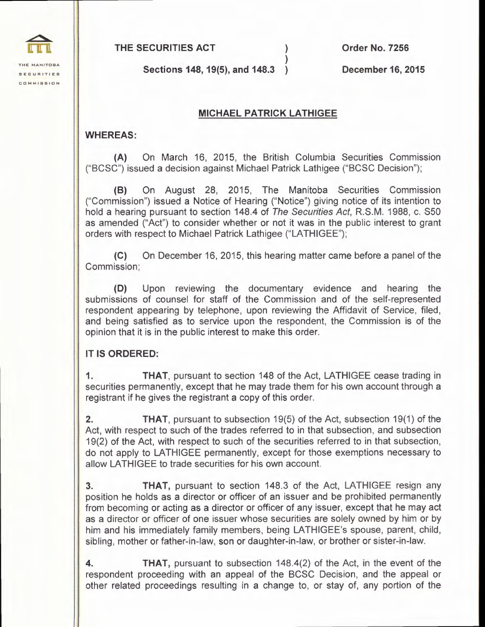**THE SECURITIES ACT** )

**Order No. 7256** 

**THE MANITOBA SECURITIES COMMISSION** 

**Sections 148, 19(5), and 148.3** )

**December 16, 2015** 

## **MICHAEL PATRICK LATHIGEE**

)

## **WHEREAS:**

**(A)** On March 16, 2015, the British Columbia Securities Commission ("BCSC") issued a decision against Michael Patrick Lathigee ("BCSC Decision");

**(B)** On August 28, 2015, The Manitoba Securities Commission ("Commission") issued a Notice of Hearing ("Notice") giving notice of its intention to hold a hearing pursuant to section 148.4 of The Securities Act, R.S.M. 1988, c. S50 as amended ("Act") to consider whether or not it was in the public interest to grant orders with respect to Michael Patrick Lathigee ("LATHIGEE");

**(C)** On December 16, 2015, this hearing matter came before a panel of the Commission;

**(D)** Upon reviewing the documentary evidence and hearing the submissions of counsel for staff of the Commission and of the self-represented respondent appearing by telephone, upon reviewing the Affidavit of Service, filed, and being satisfied as to service upon the respondent, the Commission is of the opinion that it is in the public interest to make this order.

## **IT IS ORDERED:**

**1. THAT,** pursuant to section 148 of the Act, LATHIGEE cease trading in securities permanently, except that he may trade them for his own account through a registrant if he gives the registrant a copy of this order.

**2. THAT,** pursuant to subsection 19(5) of the Act, subsection 19(1) of the Act, with respect to such of the trades referred to in that subsection, and subsection 19(2) of the Act, with respect to such of the securities referred to in that subsection, do not apply to LATHIGEE permanently, except for those exemptions necessary to allow LATHIGEE to trade securities for his own account.

**3. THAT,** pursuant to section 148.3 of the Act, LATHIGEE resign any position he holds as a director or officer of an issuer and be prohibited permanently from becoming or acting as a director or officer of any issuer, except that he may act as a director or officer of one issuer whose securities are solely owned by him or by him and his immediately family members, being LATHIGEE's spouse, parent, child, sibling, mother or father-in-law, son or daughter-in-law, or brother or sister-in-law.

**4. THAT,** pursuant to subsection 148.4(2) of the Act, in the event of the respondent proceeding with an appeal of the BCSC Decision, and the appeal or other related proceedings resulting in a change to, or stay of, any portion of the